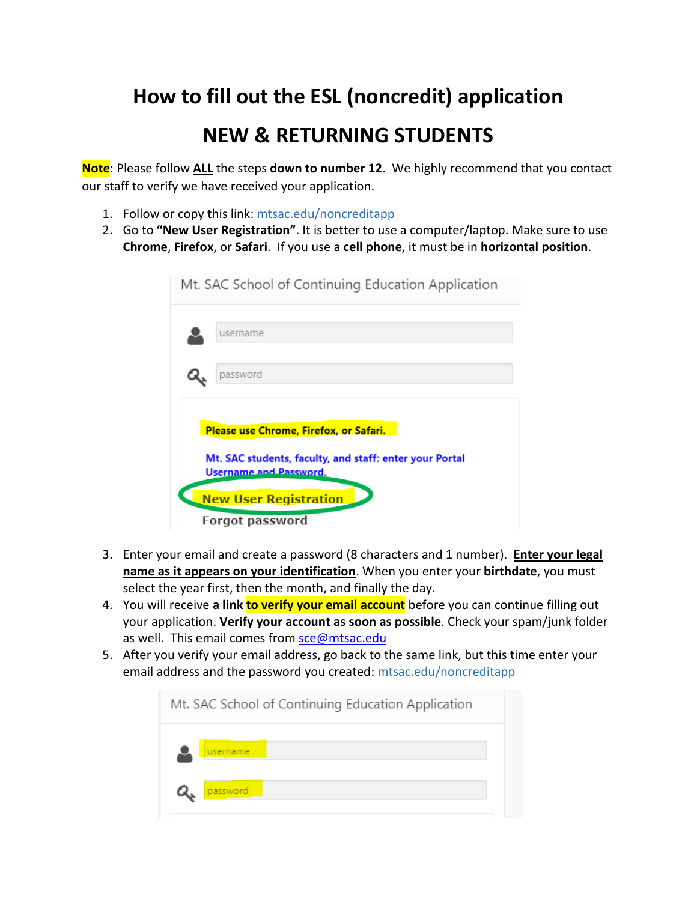## **How to fill out the ESL (noncredit) application**

## **NEW & RETURNING STUDENTS**

 **Note**: Please follow **ALL** the steps **down to number 12**. We highly recommend that you contact our staff to verify we have received your application.

- 1. Follow or copy this link: mtsac.edu/noncreditapp
- 2. Go to **"New User Registration"**. It is better to use a computer/laptop. Make sure to use **Chrome**, **Firefox**, or **Safari**. If you use a **cell phone**, it must be in **horizontal position**.



- **name as it appears on your identification**. When you enter your **birthdate**, you must select the year first, then the month, and finally the day. 3. Enter your email and create a password (8 characters and 1 number). **Enter your legal**
- 4. You will receive **a link to verify your email account** before you can continue filling out your application. **Verify your account as soon as possible**. Check your spam/junk folder as well. This email comes from sce@mtsac.edu
- email address and the password you created: mtsac.edu/noncreditapp 5. After you verify your email address, go back to the same link, but this time enter your

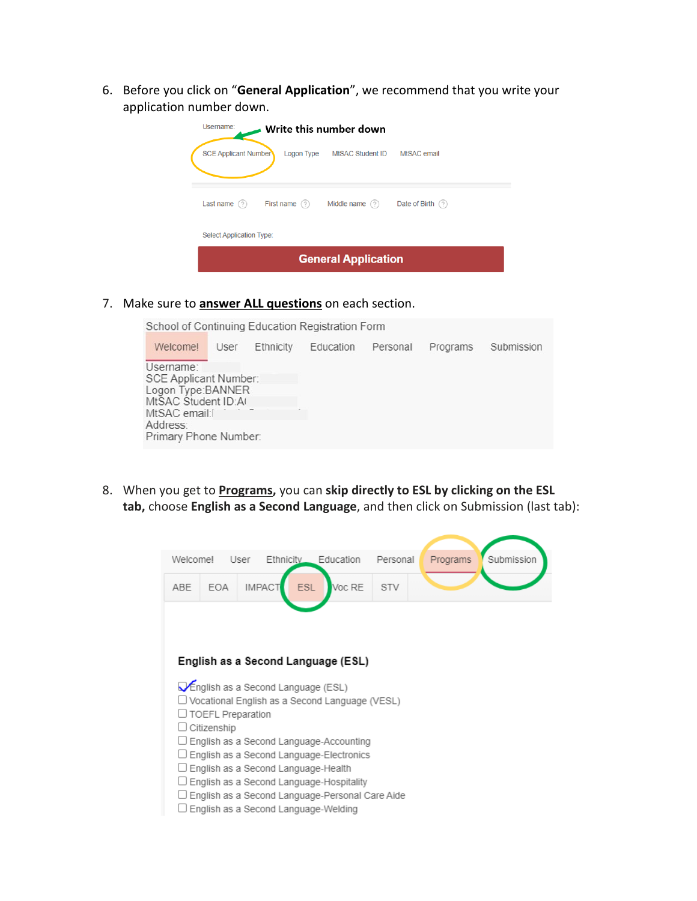6. Before you click on "**General Application**", we recommend that you write your application number down.

| Username:<br>$\blacksquare$ Write this number down |                             |                   |  |  |  |  |  |
|----------------------------------------------------|-----------------------------|-------------------|--|--|--|--|--|
| <b>SCE Applicant Number</b>                        | Logon Type MtSAC Student ID | MtSAC email       |  |  |  |  |  |
| First name $(2)$<br>Last name $(?)$                | Middle name $(?)$           | Date of Birth (?) |  |  |  |  |  |
| <b>Select Application Type:</b>                    |                             |                   |  |  |  |  |  |
| <b>General Application</b>                         |                             |                   |  |  |  |  |  |

7. Make sure to **answer ALL questions** on each section.

School of Continuing Education Registration Form

| Username:                                                                                                              | Submission |
|------------------------------------------------------------------------------------------------------------------------|------------|
| SCE Applicant Number:<br>Logon Type:BANNER<br>MtSAC Student ID:AI<br>MtSAC email:<br>Address:<br>Primary Phone Number: |            |

8. When you get to **Programs,** you can **skip directly to ESL by clicking on the ESL tab,** choose **English as a Second Language**, and then click on Submission (last tab):

| Welcomel                                                                   | User        | <b>Ethnicity</b>                     | Education                                       | Personal   | Programs | Submission |  |  |  |  |
|----------------------------------------------------------------------------|-------------|--------------------------------------|-------------------------------------------------|------------|----------|------------|--|--|--|--|
| <b>ABE</b>                                                                 | <b>EOA</b>  | <b>ESL</b><br><b>IMPACT</b>          | Voc RE                                          | <b>STV</b> |          |            |  |  |  |  |
|                                                                            |             |                                      |                                                 |            |          |            |  |  |  |  |
|                                                                            |             |                                      |                                                 |            |          |            |  |  |  |  |
| English as a Second Language (ESL)                                         |             |                                      |                                                 |            |          |            |  |  |  |  |
| <b>V</b> English as a Second Language (ESL)                                |             |                                      |                                                 |            |          |            |  |  |  |  |
| Vocational English as a Second Language (VESL)<br><b>TOEFL Preparation</b> |             |                                      |                                                 |            |          |            |  |  |  |  |
|                                                                            | Citizenship |                                      |                                                 |            |          |            |  |  |  |  |
|                                                                            |             |                                      | English as a Second Language-Accounting         |            |          |            |  |  |  |  |
|                                                                            |             |                                      | English as a Second Language-Electronics        |            |          |            |  |  |  |  |
|                                                                            |             | English as a Second Language-Health  |                                                 |            |          |            |  |  |  |  |
|                                                                            |             |                                      | English as a Second Language-Hospitality        |            |          |            |  |  |  |  |
|                                                                            |             |                                      | English as a Second Language-Personal Care Aide |            |          |            |  |  |  |  |
|                                                                            |             | English as a Second Language-Welding |                                                 |            |          |            |  |  |  |  |